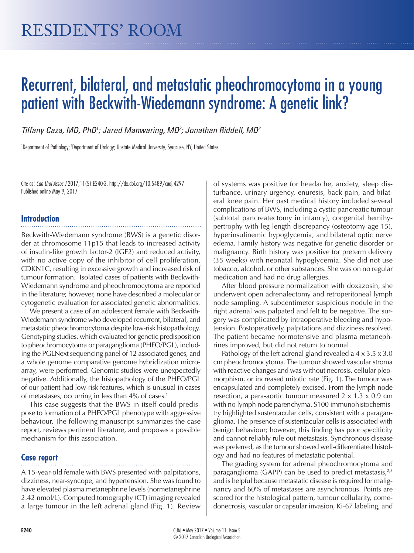# Recurrent, bilateral, and metastatic pheochromocytoma in a young patient with Beckwith-Wiedemann syndrome: A genetic link?

*Tiffany Caza, MD, PhD1 ; Jared Manwaring, MD2 ; Jonathan Riddell, MD2*

1 Department of Pathology; 2Department of Urology; Upstate Medical University, Syracuse, NY, United States

Cite as: *Can Urol Assoc J* 2017;11(5):E240-3. http://dx.doi.org/10.5489/cuaj.4297 Published online May 9, 2017

# **Introduction**

Beckwith-Wiedemann syndrome (BWS) is a genetic disorder at chromosome 11p15 that leads to increased activity of insulin-like growth factor-2 (IGF2) and reduced activity, with no active copy of the inhibitor of cell proliferation, CDKN1C, resulting in excessive growth and increased risk of tumour formation. Isolated cases of patients with Beckwith-Wiedemann syndrome and pheochromocytoma are reported in the literature; however, none have described a molecular or cytogenetic evaluation for associated genetic abnormalities.

We present a case of an adolescent female with Beckwith-Wiedemann syndrome who developed recurrent, bilateral, and metastatic pheochromocytoma despite low-risk histopathology. Genotyping studies, which evaluated for genetic predisposition to pheochromocytoma or paraganglioma (PHEO/PGL), including the PGLNext sequencing panel of 12 associated genes, and a whole genome comparative genome hybridization microarray, were performed. Genomic studies were unexpectedly negative. Additionally, the histopathology of the PHEO/PGL of our patient had low-risk features, which is unusual in cases of metastases, occurring in less than 4% of cases.<sup>1</sup>

This case suggests that the BWS in itself could predispose to formation of a PHEO/PGL phenotype with aggressive behaviour. The following manuscript summarizes the case report, reviews pertinent literature, and proposes a possible mechanism for this association.

# **Case report**

A 15-year-old female with BWS presented with palpitations, dizziness, near-syncope, and hypertension. She was found to have elevated plasma metanephrine levels (normetanephrine 2.42 nmol/L). Computed tomography (CT) imaging revealed a large tumour in the left adrenal gland (Fig. 1). Review

of systems was positive for headache, anxiety, sleep disturbance, urinary urgency, enuresis, back pain, and bilateral knee pain. Her past medical history included several complications of BWS, including a cystic pancreatic tumour (subtotal pancreatectomy in infancy), congenital hemihypertrophy with leg length discrepancy (osteotomy age 15), hyperinsulinemic hypoglycemia, and bilateral optic nerve edema. Family history was negative for genetic disorder or malignancy. Birth history was positive for preterm delivery (35 weeks) with neonatal hypoglycemia. She did not use tobacco, alcohol, or other substances. She was on no regular medication and had no drug allergies.

After blood pressure normalization with doxazosin, she underwent open adrenalectomy and retroperitoneal lymph node sampling. A subcentimeter suspicious nodule in the right adrenal was palpated and felt to be negative. The surgery was complicated by intraoperative bleeding and hypotension. Postoperatively, palpitations and dizziness resolved. The patient became normotensive and plasma metanephrines improved, but did not return to normal.

Pathology of the left adrenal gland revealed a 4 x 3.5 x 3.0 cm pheochromocytoma. The tumour showed vascular stroma with reactive changes and was without necrosis, cellular pleomorphism, or increased mitotic rate (Fig. 1). The tumour was encapsulated and completely excised. From the lymph node resection, a para-aortic tumour measured  $2 \times 1.3 \times 0.9$  cm with no lymph node parenchyma. S100 immunohistochemistry highlighted sustentacular cells, consistent with a paraganglioma. The presence of sustentacular cells is associated with benign behaviour; however, this finding has poor specificity and cannot reliably rule out metastasis. Synchronous disease was preferred, as the tumour showed well-differentiated histology and had no features of metastatic potential.

The grading system for adrenal pheochromocytoma and paraganglioma (GAPP) can be used to predict metastasis, $2,3$ and is helpful because metastatic disease is required for malignancy and 60% of metastases are asynchronous. Points are scored for the histological pattern, tumour cellularity, comedonecrosis, vascular or capsular invasion, Ki-67 labeling, and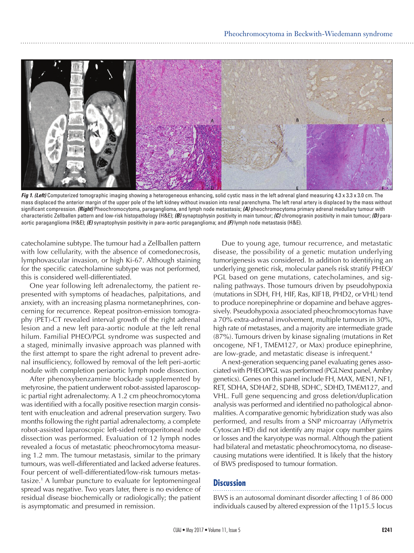

*Fig 1. (Left)* Computerized tomographic imaging showing a heterogeneous enhancing, solid cystic mass in the left adrenal gland measuring 4.3 x 3.3 x 3.0 cm. The mass displaced the anterior margin of the upper pole of the left kidney without invasion into renal parenchyma. The left renal artery is displaced by the mass without significant compression. *(Right)* Pheochromocytoma, paraganglioma, and lymph node metastasis; *(A)* pheochromocytoma primary adrenal medullary tumour with characteristic Zellballen pattern and low-risk histopathology (H&E); *(B)* synaptophysin positivity in main tumour; *(C)* chromogranin positivity in main tumour; *(D)* paraaortic paraganglioma (H&E); *(E)* synaptophysin positivity in para-aortic paraganglioma; and *(F)* lymph node metastasis (H&E).

catecholamine subtype. The tumour had a Zellballen pattern with low cellularity, with the absence of comedonecrosis, lymphovascular invasion, or high Ki-67. Although staining for the specific catecholamine subtype was not performed, this is considered well-differentiated.

One year following left adrenalectomy, the patient represented with symptoms of headaches, palpitations, and anxiety, with an increasing plasma normetanephrines, concerning for recurrence. Repeat positron-emission tomography (PET)-CT revealed interval growth of the right adrenal lesion and a new left para-aortic nodule at the left renal hilum. Familial PHEO/PGL syndrome was suspected and a staged, minimally invasive approach was planned with the first attempt to spare the right adrenal to prevent adrenal insufficiency, followed by removal of the left peri-aortic nodule with completion periaortic lymph node dissection.

After phenoxybenzamine blockade supplemented by metyrosine, the patient underwent robot-assisted laparoscopic partial right adrenalectomy. A 1.2 cm pheochromocytoma was identified with a focally positive resection margin consistent with enucleation and adrenal preservation surgery. Two months following the right partial adrenalectomy, a complete robot-assisted laparoscopic left-sided retroperitoneal node dissection was performed. Evaluation of 12 lymph nodes revealed a focus of metastatic pheochromocytoma measuring 1.2 mm. The tumour metastasis, similar to the primary tumours, was well-differentiated and lacked adverse features. Four percent of well-differentiated/low-risk tumours metastasize.1 A lumbar puncture to evaluate for leptomeningeal spread was negative. Two years later, there is no evidence of residual disease biochemically or radiologically; the patient is asymptomatic and presumed in remission.

Due to young age, tumour recurrence, and metastatic disease, the possibility of a genetic mutation underlying tumorigenesis was considered. In addition to identifying an underlying genetic risk, molecular panels risk stratify PHEO/ PGL based on gene mutations, catecholamines, and signaling pathways. Those tumours driven by pseudohypoxia (mutations in SDH, FH, HIF, Ras, KIF1B, PHD2, or VHL) tend to produce norepinephrine or dopamine and behave aggressively. Pseudohypoxia associated pheochromocytomas have a 70% extra-adrenal involvement, multiple tumours in 30%, high rate of metastases, and a majority are intermediate grade (87%). Tumours driven by kinase signaling (mutations in Ret oncogene, NF1, TMEM127, or Max) produce epinephrine, are low-grade, and metastatic disease is infrequent.<sup>4</sup>

A next-generation sequencing panel evaluating genes associated with PHEO/PGL was performed (PGLNext panel, Ambry genetics). Genes on this panel include FH, MAX, MEN1, NF1, RET, SDHA, SDHAF2, SDHB, SDHC, SDHD, TMEM127, and VHL. Full gene sequencing and gross deletion/duplication analysis was performed and identified no pathological abnormalities. A comparative genomic hybridization study was also performed, and results from a SNP microarray (Affymetrix Cytoscan HD) did not identify any major copy number gains or losses and the karyotype was normal. Although the patient had bilateral and metastatic pheochromocytoma, no diseasecausing mutations were identified. It is likely that the history of BWS predisposed to tumour formation.

#### **Discussion**

BWS is an autosomal dominant disorder affecting 1 of 86 000 individuals caused by altered expression of the 11p15.5 locus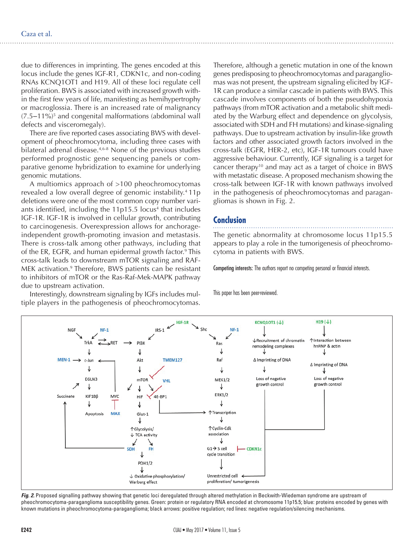due to differences in imprinting. The genes encoded at this locus include the genes IGF-R1, CDKN1c, and non-coding RNAs KCNQ1OT1 and H19. All of these loci regulate cell proliferation. BWS is associated with increased growth within the first few years of life, manifesting as hemihypertrophy or macroglossia. There is an increased rate of malignancy (7.5‒11%)5 and congenital malformations (abdominal wall defects and visceromegaly).

There are five reported cases associating BWS with development of pheochromocytoma, including three cases with bilateral adrenal disease.<sup>4,6-8</sup> None of the previous studies performed prognostic gene sequencing panels or comparative genome hybridization to examine for underlying genomic mutations.

A multiomics approach of >100 pheochromocytomas revealed a low overall degree of genomic instability.<sup>4</sup> 11p deletions were one of the most common copy number variants identified, including the 11p15.5 locus<sup>4</sup> that includes IGF-1R. IGF-1R is involved in cellular growth, contributing to carcinogenesis. Overexpression allows for anchorageindependent growth-promoting invasion and metastasis. There is cross-talk among other pathways, including that of the ER, EGFR, and human epidermal growth factor.<sup>9</sup> This cross-talk leads to downstream mTOR signaling and RAF-MEK activation.<sup>9</sup> Therefore, BWS patients can be resistant to inhibitors of mTOR or the Ras-Raf-Mek-MAPK pathway due to upstream activation.

Interestingly, downstream signaling by IGFs includes multiple players in the pathogenesis of pheochromocytomas.

Therefore, although a genetic mutation in one of the known genes predisposing to pheochromocytomas and paragangliomas was not present, the upstream signaling elicited by IGF-1R can produce a similar cascade in patients with BWS. This cascade involves components of both the pseudohypoxia pathways (from mTOR activation and a metabolic shift mediated by the Warburg effect and dependence on glycolysis, associated with SDH and FH mutations) and kinase-signaling pathways. Due to upstream activation by insulin-like growth factors and other associated growth factors involved in the cross-talk (EGFR, HER-2, etc), IGF-1R tumours could have aggressive behaviour. Currently, IGF signaling is a target for cancer therapy<sup>10</sup> and may act as a target of choice in BWS with metastatic disease. A proposed mechanism showing the cross-talk between IGF-1R with known pathways involved in the pathogenesis of pheochromocytomas and paragangliomas is shown in Fig. 2.

## **Conclusion**

The genetic abnormality at chromosome locus 11p15.5 appears to play a role in the tumorigenesis of pheochromocytoma in patients with BWS.

Competing interests: The authors report no competing personal or financial interests.

This paper has been peer-reviewed.



*Fig. 2.* Proposed signalling pathway showing that genetic loci deregulated through altered methylation in Beckwith-Wiedeman syndrome are upstream of pheochromocytoma-paraganglioma susceptibility genes. Green: protein or regulatory RNA encoded at chromosome 11p15.5; blue: proteins encoded by genes with known mutations in pheochromocytoma-paraganglioma; black arrows: positive regulation; red lines: negative regulation/silencing mechanisms.